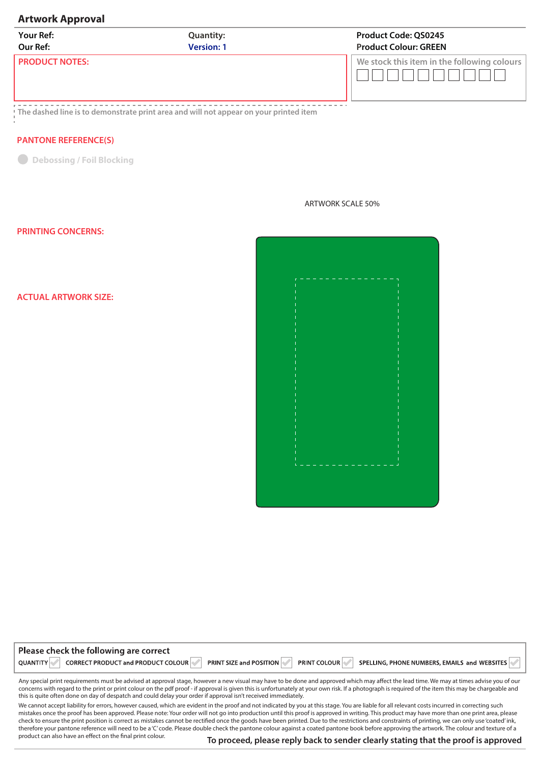## **Artwork Approval**

| <b>Your Ref:</b>      | <b>Quantity:</b>  | <b>Product Code: QS0245</b>                 |
|-----------------------|-------------------|---------------------------------------------|
| Our Ref:              | <b>Version: 1</b> | <b>Product Colour: GREEN</b>                |
| <b>PRODUCT NOTES:</b> |                   | We stock this item in the following colours |

**The dashed line is to demonstrate print area and will not appear on your printed item**

## **PANTONE REFERENCE(S)**

**C** Debossing / Foil Blocking

| ---<br>'n<br>$- -$<br>٠ | $\sim$<br>$- - -$<br>$\hspace{0.1mm}$<br>-<br>٦ |
|-------------------------|-------------------------------------------------|
| ı                       | I                                               |
| ı<br>ī                  | $\mathbf{I}$<br>Ï                               |
| ı                       | Ï                                               |
| ī                       | ï                                               |
| ı                       | Ï                                               |
| ı<br>ı                  | ï<br>Ï                                          |
| Ī                       | ï                                               |
| ī                       | Ï                                               |
| ī<br>ı                  | Ī<br>Ï                                          |
| ī                       | Ï                                               |
| ī                       | Ï                                               |
| ī                       | Ï<br>Ï                                          |
| ī<br>ı                  | Ï                                               |
| Ī                       | Ï                                               |
| Ī                       | Ï                                               |
| I<br>ī                  | Ī<br>ī                                          |
| ī                       | Ï                                               |
| ı                       | Ï                                               |
| Ï<br>ī                  | Ï<br>Ï                                          |
| ī                       | Ï                                               |
| ī                       | Ï                                               |
| ı                       | Ï<br>ä,                                         |

ARTWORK SCALE 50%

**ACTUAL ARTWORK SIZE:** 

**PRINTING CONCERNS:** 

| Please check the following are correct                |                                |                     |                                              |
|-------------------------------------------------------|--------------------------------|---------------------|----------------------------------------------|
| <b>QUANTITY</b><br>CORRECT PRODUCT and PRODUCT COLOUR | <b>PRINT SIZE and POSITION</b> | <b>PRINT COLOUR</b> | SPELLING, PHONE NUMBERS, EMAILS and WEBSITES |

Any special print requirements must be advised at approval stage, however a new visual may have to be done and approved which may affect the lead time. We may at times advise you of our concerns with regard to the print or print colour on the pdf proof - if approval is given this is unfortunately at your own risk. If a photograph is required of the item this may be chargeable and this is quite often done on day of despatch and could delay your order if approval isn't received immediately.

We cannot accept liability for errors, however caused, which are evident in the proof and not indicated by you at this stage. You are liable for all relevant costs incurred in correcting such mistakes once the proof has been approved. Please note: Your order will not go into production until this proof is approved in writing. This product may have more than one print area, please check to ensure the print position is correct as mistakes cannot be rectified once the goods have been printed. Due to the restrictions and constraints of printing, we can only use 'coated' ink, therefore your pantone reference will need to be a 'C' code. Please double check the pantone colour against a coated pantone book before approving the artwork. The colour and texture of a product can also have an effect on the final print colour.